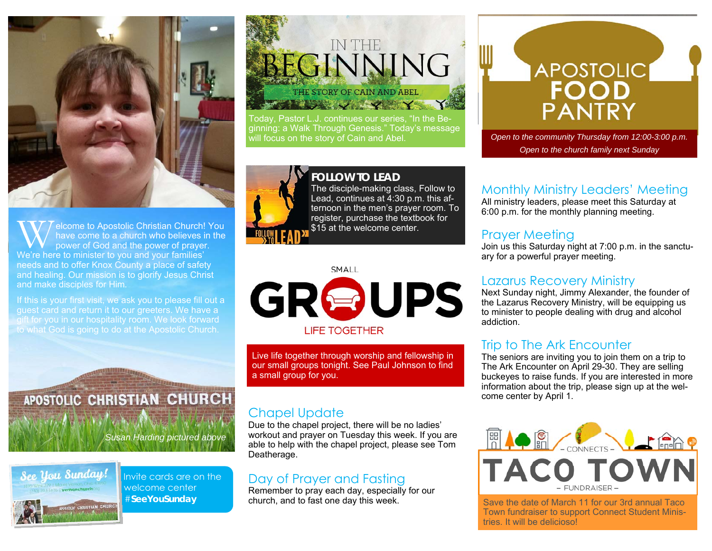

W elcome to Apostolic Christian Church! You have come to a church who believes in the power of God and the power of prayer. We're here to minister to you and your families' needs and to offer Knox County a place of safety and healing. Our mission is to glorify Jesus Christ and make disciples for Him.

If this is your first visit, we ask you to please fill out a guest card and return it to our greeters. We have a gift for you in our hospitality room. We look forward to what God is going to do at the Apostolic Church.

APOSTOLIC CHRISTIAN CHURCH

*Susan Harding pictured above* 



Invite cards are on the welcome center #**SeeYouSunday** 

## IN THE BEGINNING THE STORY OF CAIN AND ABEL **RESERVAL WARRY**

Today, Pastor L.J. continues our series, "In the Beginning: a Walk Through Genesis." Today's message



**FOLLOW TO LEAD**The disciple-making class, Follow to Lead, continues at 4:30 p.m. this afternoon in the men's prayer room. To register, purchase the textbook for \$15 at the welcome center.



Live life together through worship and fellowship in our small groups tonight. See Paul Johnson to find a small group for you.

#### Chapel Update

Due to the chapel project, there will be no ladies' workout and prayer on Tuesday this week. If you are able to help with the chapel project, please see Tom Deatherage.

#### Day of Prayer and Fasting

Remember to pray each day, especially for our church, and to fast one day this week.

# On Wednesday night, the adults continue "Greater: A Study Through Hebrews," studying **Hebrews 9**.

Open to the community Thursday from 12:00-3:00 p.m. *Open to the church family next Sunday* 

#### Monthly Ministry Leaders' Meeting

All ministry leaders, please meet this Saturday at 6:00 p.m. for the monthly planning meeting.

#### Prayer Meeting

Join us this Saturday night at 7:00 p.m. in the sanctuary for a powerful prayer meeting.

#### Lazarus Recovery Ministry

Next Sunday night, Jimmy Alexander, the founder of the Lazarus Recovery Ministry, will be equipping us to minister to people dealing with drug and alcohol addiction.

#### Trip to The Ark Encounter

The seniors are inviting you to join them on a trip to The Ark Encounter on April 29-30. They are selling buckeyes to raise funds. If you are interested in more information about the trip, please sign up at the welcome center by April 1.



Save the date of March 11 for our 3rd annual Taco Town fundraiser to support Connect Student Ministries. It will be delicioso!